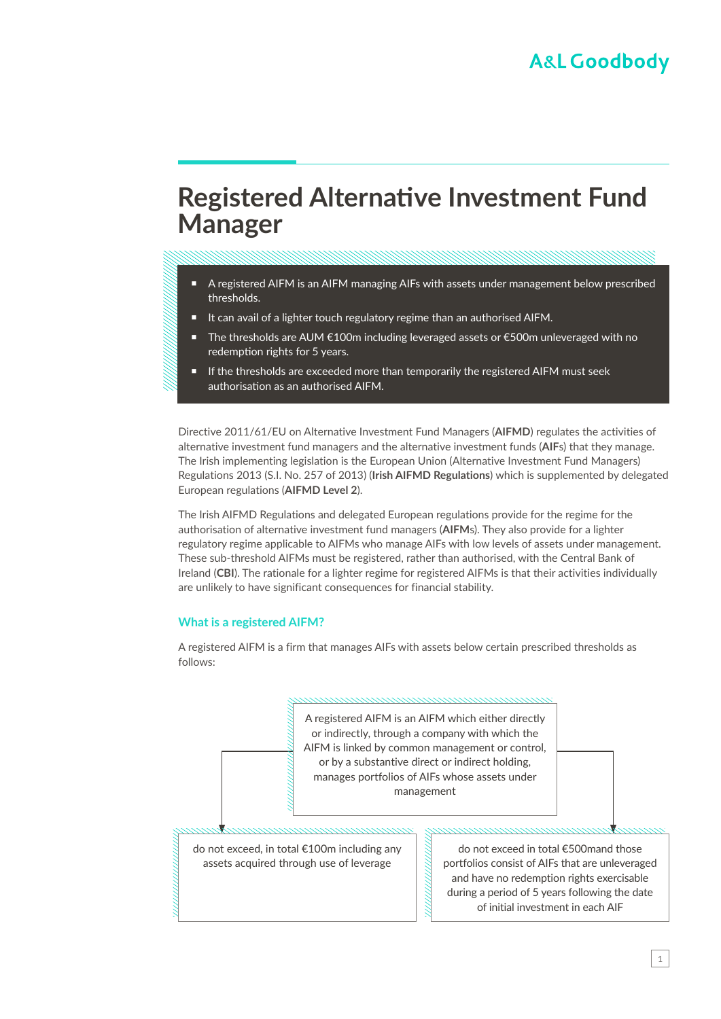# **Registered Alternative Investment Fund Manager**

#### A registered AIFM is an AIFM managing AIFs with assets under management below prescribed thresholds.

- It can avail of a lighter touch regulatory regime than an authorised AIFM.
- The thresholds are AUM €100m including leveraged assets or €500m unleveraged with no redemption rights for 5 years.
- If the thresholds are exceeded more than temporarily the registered AIFM must seek authorisation as an authorised AIFM.

Directive 2011/61/EU on Alternative Investment Fund Managers (**AIFMD**) regulates the activities of alternative investment fund managers and the alternative investment funds (**AIF**s) that they manage. The Irish implementing legislation is the European Union (Alternative Investment Fund Managers) Regulations 2013 (S.I. No. 257 of 2013) (**Irish AIFMD Regulations**) which is supplemented by delegated European regulations (**AIFMD Level 2**).

The Irish AIFMD Regulations and delegated European regulations provide for the regime for the authorisation of alternative investment fund managers (**AIFM**s). They also provide for a lighter regulatory regime applicable to AIFMs who manage AIFs with low levels of assets under management. These sub-threshold AIFMs must be registered, rather than authorised, with the Central Bank of Ireland (**CBI**). The rationale for a lighter regime for registered AIFMs is that their activities individually are unlikely to have significant consequences for financial stability.

#### **What is a registered AIFM?**

A registered AIFM is a firm that manages AIFs with assets below certain prescribed thresholds as follows:

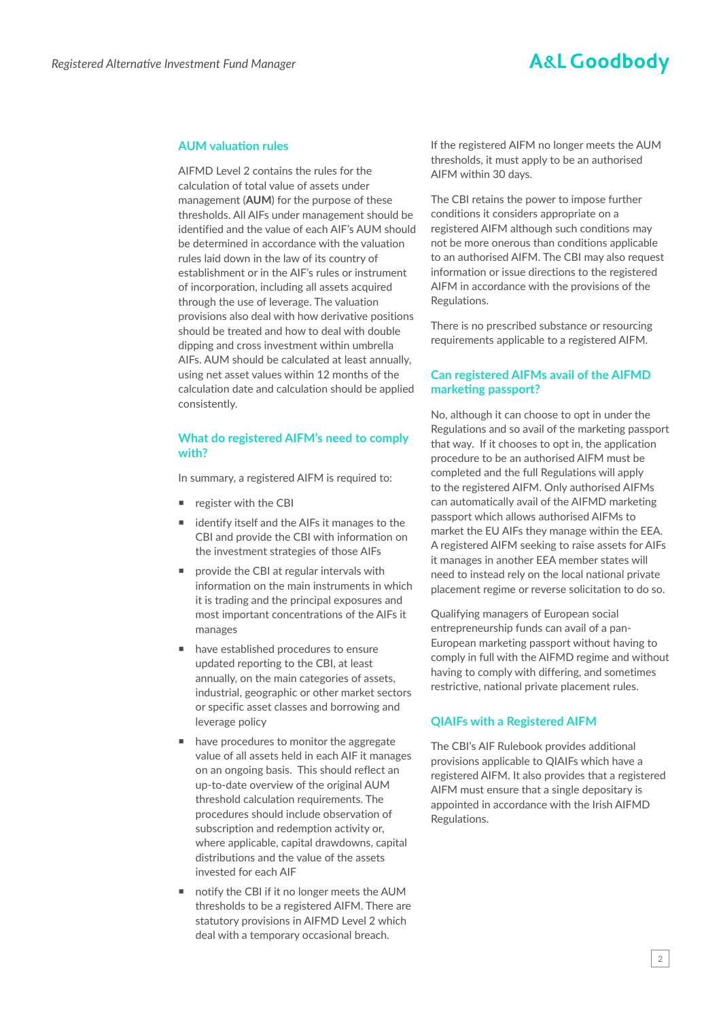### **A&L Goodbody**

#### **AUM valuation rules**

AIFMD Level 2 contains the rules for the calculation of total value of assets under management (**AUM**) for the purpose of these thresholds. All AIFs under management should be identified and the value of each AIF's AUM should be determined in accordance with the valuation rules laid down in the law of its country of establishment or in the AIF's rules or instrument of incorporation, including all assets acquired through the use of leverage. The valuation provisions also deal with how derivative positions should be treated and how to deal with double dipping and cross investment within umbrella AIFs. AUM should be calculated at least annually, using net asset values within 12 months of the calculation date and calculation should be applied consistently.

#### **What do registered AIFM's need to comply with?**

In summary, a registered AIFM is required to:

- **Parage is register with the CBI**
- identify itself and the AIFs it manages to the CBI and provide the CBI with information on the investment strategies of those AIFs
- **P** provide the CBI at regular intervals with information on the main instruments in which it is trading and the principal exposures and most important concentrations of the AIFs it manages
- have established procedures to ensure updated reporting to the CBI, at least annually, on the main categories of assets, industrial, geographic or other market sectors or specific asset classes and borrowing and leverage policy
- have procedures to monitor the aggregate value of all assets held in each AIF it manages on an ongoing basis. This should reflect an up-to-date overview of the original AUM threshold calculation requirements. The procedures should include observation of subscription and redemption activity or, where applicable, capital drawdowns, capital distributions and the value of the assets invested for each AIF
- notify the CBI if it no longer meets the AUM thresholds to be a registered AIFM. There are statutory provisions in AIFMD Level 2 which deal with a temporary occasional breach.

If the registered AIFM no longer meets the AUM thresholds, it must apply to be an authorised AIFM within 30 days.

The CBI retains the power to impose further conditions it considers appropriate on a registered AIFM although such conditions may not be more onerous than conditions applicable to an authorised AIFM. The CBI may also request information or issue directions to the registered AIFM in accordance with the provisions of the Regulations.

There is no prescribed substance or resourcing requirements applicable to a registered AIFM.

#### **Can registered AIFMs avail of the AIFMD marketing passport?**

No, although it can choose to opt in under the Regulations and so avail of the marketing passport that way. If it chooses to opt in, the application procedure to be an authorised AIFM must be completed and the full Regulations will apply to the registered AIFM. Only authorised AIFMs can automatically avail of the AIFMD marketing passport which allows authorised AIFMs to market the EU AIFs they manage within the EEA. A registered AIFM seeking to raise assets for AIFs it manages in another EEA member states will need to instead rely on the local national private placement regime or reverse solicitation to do so.

Qualifying managers of European social entrepreneurship funds can avail of a pan-European marketing passport without having to comply in full with the AIFMD regime and without having to comply with differing, and sometimes restrictive, national private placement rules.

#### **QIAIFs with a Registered AIFM**

The CBI's AIF Rulebook provides additional provisions applicable to QIAIFs which have a registered AIFM. It also provides that a registered AIFM must ensure that a single depositary is appointed in accordance with the Irish AIFMD Regulations.